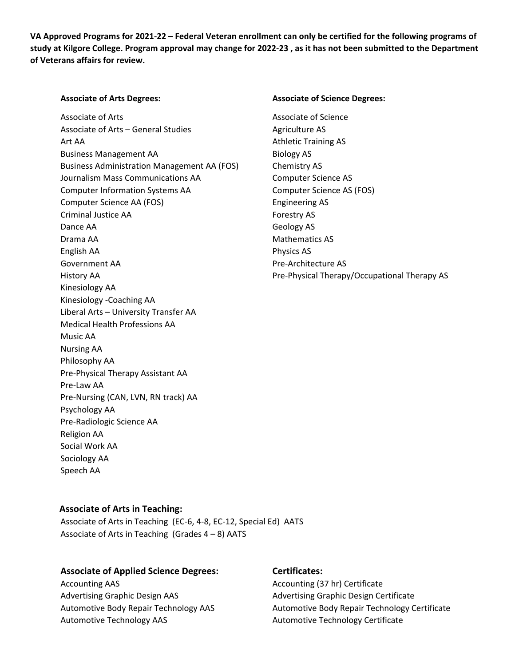VA Approved Programs for 2021-22 - Federal Veteran enrollment can only be certified for the following programs of study at Kilgore College. Program approval may change for 2022-23, as it has not been submitted to the Department **of Veterans affairs for review.**

Associate of Arts Associate of Science Associate of Arts – General Studies **Manual Associate AS** Art AA Athletic Training AS Business Management AA Biology AS Business Administration Management AA (FOS) Chemistry AS Journalism Mass Communications AA **Computer Science AS** Computer Information Systems AA Computer Science AS (FOS) Computer Science AA (FOS) Engineering AS Criminal Justice AA Forestry AS Dance AA Geology AS Drama AA Mathematics AS English AA Physics AS Government AA Pre‐Architecture AS Kinesiology AA Kinesiology ‐Coaching AA Liberal Arts – University Transfer AA Medical Health Professions AA Music AA Nursing AA Philosophy AA Pre‐Physical Therapy Assistant AA Pre‐Law AA Pre‐Nursing (CAN, LVN, RN track) AA Psychology AA Pre‐Radiologic Science AA Religion AA Social Work AA Sociology AA Speech AA

### **Associate of Arts Degrees: Associate of Science Degrees:**

History AA Pre‐Physical Therapy/Occupational Therapy AS

# **Associate of Arts in Teaching:**

Associate of Arts in Teaching (EC‐6, 4‐8, EC‐12, Special Ed) AATS Associate of Arts in Teaching  $(Grades 4-8)$  AATS

# **Associate of Applied Science Degrees: Certificates:**

Accounting AAS Accounting (37 hr) Certificate Advertising Graphic Design AAS Advertising Graphic Design Certificate Automotive Technology AAS **Automotive Technology AAS** Automotive Technology Certificate

Automotive Body Repair Technology AAS Automotive Body Repair Technology Certificate